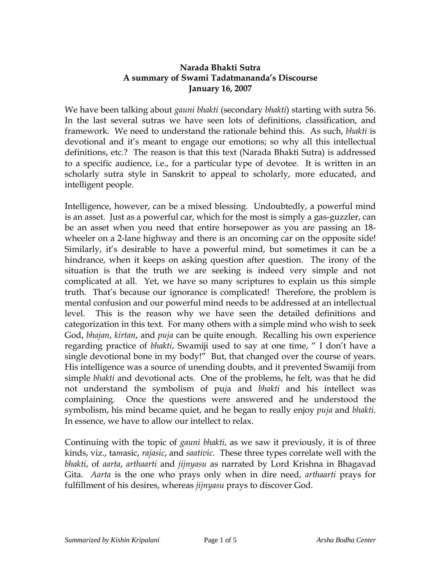### **Narada Bhakti Sutra A summary of Swami Tadatmananda's Discourse January 16, 2007**

We have been talking about *gauni bhakti* (secondary *bhakti*) starting with sutra 56. In the last several sutras we have seen lots of definitions, classification, and framework. We need to understand the rationale behind this. As such, *bhakti* is devotional and it's meant to engage our emotions; so why all this intellectual definitions, etc.? The reason is that this text (Narada Bhakti Sutra) is addressed to a specific audience, i.e., for a particular type of devotee. It is written in an scholarly sutra style in Sanskrit to appeal to scholarly, more educated, and intelligent people.

Intelligence, however, can be a mixed blessing. Undoubtedly, a powerful mind is an asset. Just as a powerful car, which for the most is simply a gas-guzzler, can be an asset when you need that entire horsepower as you are passing an 18 wheeler on a 2-lane highway and there is an oncoming car on the opposite side! Similarly, it's desirable to have a powerful mind, but sometimes it can be a hindrance, when it keeps on asking question after question. The irony of the situation is that the truth we are seeking is indeed very simple and not complicated at all. Yet, we have so many scriptures to explain us this simple truth. That's because our ignorance is complicated! Therefore, the problem is mental confusion and our powerful mind needs to be addressed at an intellectual level. This is the reason why we have seen the detailed definitions and categorization in this text. For many others with a simple mind who wish to seek God, *bhajan*, *kirtan*, and *puja* can be quite enough. Recalling his own experience regarding practice of *bhakti*, Swamiji used to say at one time, " I don't have a single devotional bone in my body!" But, that changed over the course of years. His intelligence was a source of unending doubts, and it prevented Swamiji from simple *bhakti* and devotional acts. One of the problems, he felt, was that he did not understand the symbolism of pu*j*a and *bhakti* and his intellect was complaining. Once the questions were answered and he understood the symbolism, his mind became quiet, and he began to really enjoy *puja* and *bhakti*. In essence, we have to allow our intellect to relax.

Continuing with the topic of *gauni bhakti*, as we saw it previously, it is of three kinds, viz., ta*m*asic, *rajasic*, and *saativic*. These three types correlate well with the *bhakti*, of *aarta*, *arthaarti* and *jijnyasu* as narrated by Lord Krishna in Bhagavad Gita. *Aarta* is the one who prays only when in dire need, *arthaarti* prays for fulfillment of his desires, whereas *jijnyasu* prays to discover God.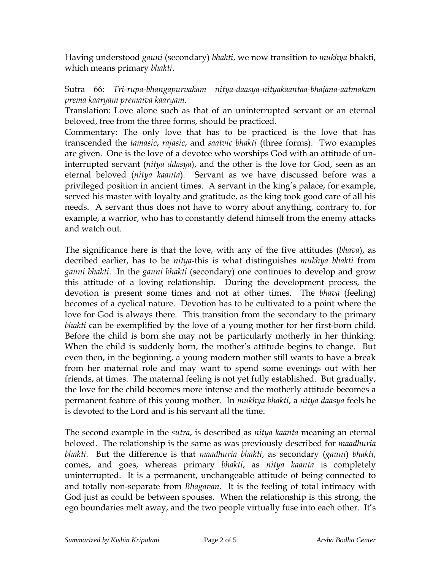Having understood *gauni* (secondary) *bhakti*, we now transition to *mukhya* bhakti, which means primary *bhakti*.

## Sutra 66: *Tri-rupa-bhangapurvakam nitya-daasya-nityakaantaa-bhajana-aatmakam prema kaaryam premaiva kaaryam.*

Translation: Love alone such as that of an uninterrupted servant or an eternal beloved, free from the three forms, should be practiced.

Commentary: The only love that has to be practiced is the love that has transcended the *tamasic*, *rajasic*, and *saatvic bhakti* (three forms). Two examples are given. One is the love of a devotee who worships God with an attitude of uninterrupted servant (*nitya ddasya*), and the other is the love for God, seen as an eternal beloved (*nitya kaanta*). Servant as we have discussed before was a privileged position in ancient times. A servant in the king's palace, for example, served his master with loyalty and gratitude, as the king took good care of all his needs. A servant thus does not have to worry about anything, contrary to, for example, a warrior, who has to constantly defend himself from the enemy attacks and watch out.

The significance here is that the love, with any of the five attitudes (*bhava*), as decribed earlier, has to be *nitya*-this is what distinguishes *mukhya bhakti* from *gauni bhakti*. In the *gauni bhakti* (secondary) one continues to develop and grow this attitude of a loving relationship. During the development process, the devotion is present some times and not at other times. The *bhava* (feeling) becomes of a cyclical nature. Devotion has to be cultivated to a point where the love for God is always there. This transition from the secondary to the primary *bhakti* can be exemplified by the love of a young mother for her first-born child. Before the child is born she may not be particularly motherly in her thinking. When the child is suddenly born, the mother's attitude begins to change. But even then, in the beginning, a young modern mother still wants to have a break from her maternal role and may want to spend some evenings out with her friends, at times. The maternal feeling is not yet fully established. But gradually, the love for the child becomes more intense and the motherly attitude becomes a permanent feature of this young mother. In *mukhya bhakti*, a *nitya daasya* feels he is devoted to the Lord and is his servant all the time.

The second example in the *sutra*, is described as *nitya kaanta* meaning an eternal beloved. The relationship is the same as was previously described for *maadhuria bhakti*. But the difference is that *maadhuria bhakti*, as secondary (*gauni*) *bhakti*, comes, and goes, whereas primary *bhakti*, as *nitya kaanta* is completely uninterrupted. It is a permanent, unchangeable attitude of being connected to and totally non-separate from *Bhagavan*. It is the feeling of total intimacy with God just as could be between spouses. When the relationship is this strong, the ego boundaries melt away, and the two people virtually fuse into each other. It's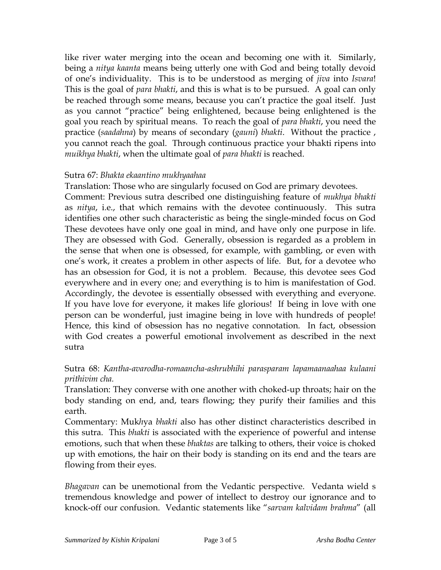like river water merging into the ocean and becoming one with it. Similarly, being a *nitya kaanta* means being utterly one with God and being totally devoid of one's individuality. This is to be understood as merging of *jiva* into *Isvara*! This is the goal of *para bhakti*, and this is what is to be pursued. A goal can only be reached through some means, because you can't practice the goal itself. Just as you cannot "practice" being enlightened, because being enlightened is the goal you reach by spiritual means. To reach the goal of *para bhakti*, you need the practice (*saadahna*) by means of secondary (*gauni*) *bhakti*. Without the practice , you cannot reach the goal. Through continuous practice your bhakti ripens into *muikhya bhakti*, when the ultimate goal of *para bhakti* is reached.

## Sutra 67: *Bhakta ekaantino mukhyaahaa*

Translation: Those who are singularly focused on God are primary devotees. Comment: Previous sutra described one distinguishing feature of *mukhya bhakti* as *nitya*, i.e., that which remains with the devotee continuously. This sutra identifies one other such characteristic as being the single-minded focus on God These devotees have only one goal in mind, and have only one purpose in life. They are obsessed with God. Generally, obsession is regarded as a problem in the sense that when one is obsessed, for example, with gambling, or even with one's work, it creates a problem in other aspects of life. But, for a devotee who has an obsession for God, it is not a problem. Because, this devotee sees God everywhere and in every one; and everything is to him is manifestation of God. Accordingly, the devotee is essentially obsessed with everything and everyone. If you have love for everyone, it makes life glorious! If being in love with one person can be wonderful, just imagine being in love with hundreds of people! Hence, this kind of obsession has no negative connotation. In fact, obsession with God creates a powerful emotional involvement as described in the next sutra

# Sutra 68: *Kantha-avarodha-romaancha-ashrubhihi parasparam lapamaanaahaa kulaani prithivim cha.*

Translation: They converse with one another with choked-up throats; hair on the body standing on end, and, tears flowing; they purify their families and this earth.

Commentary: Muk*h*ya *bhakti* also has other distinct characteristics described in this sutra. This *bhakti* is associated with the experience of powerful and intense emotions, such that when these *bhaktas* are talking to others, their voice is choked up with emotions, the hair on their body is standing on its end and the tears are flowing from their eyes.

*Bhagavan* can be unemotional from the Vedantic perspective. Vedanta wield s tremendous knowledge and power of intellect to destroy our ignorance and to knock-off our confusion. Vedantic statements like "*sarvam kalvidam brahma*" (all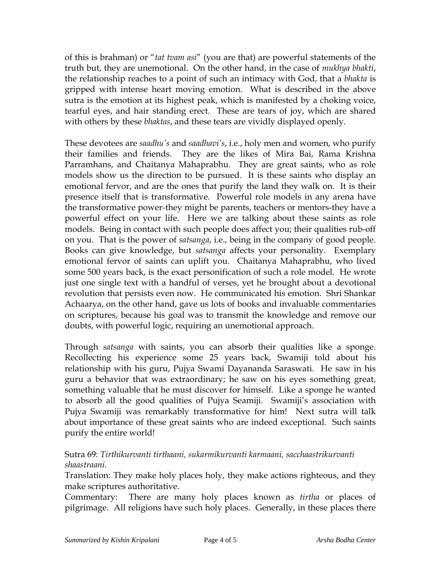of this is brahman) or "*tat tvam asi*" (you are that) are powerful statements of the truth but, they are unemotional. On the other hand, in the case of *mukhya bhakti*, the relationship reaches to a point of such an intimacy with God, that a *bhakta* is gripped with intense heart moving emotion. What is described in the above sutra is the emotion at its highest peak, which is manifested by a choking voice, tearful eyes, and hair standing erect. These are tears of joy, which are shared with others by these *bhaktas*, and these tears are vividly displayed openly.

These devotees are *saadhu's* and *saadhavi's*, i.e., holy men and women, who purify their families and friends. They are the likes of Mira Bai, Rama Krishna Parramhans, and Chaitanya Mahaprabhu. They are great saints, who as role models show us the direction to be pursued. It is these saints who display an emotional fervor, and are the ones that purify the land they walk on. It is their presence itself that is transformative. Powerful role models in any arena have the transformative power-they might be parents, teachers or mentors-they have a powerful effect on your life. Here we are talking about these saints as role models. Being in contact with such people does affect you; their qualities rub-off on you. That is the power of *satsanga*, i.e., being in the company of good people. Books can give knowledge, but *satsanga* affects your personality. Exemplary emotional fervor of saints can uplift you. Chaitanya Mahaprabhu, who lived some 500 years back, is the exact personification of such a role model. He wrote just one single text with a handful of verses, yet he brought about a devotional revolution that persists even now. He communicated his emotion. Shri Shankar Achaarya, on the other hand, gave us lots of books and invaluable commentaries on scriptures, because his goal was to transmit the knowledge and remove our doubts, with powerful logic, requiring an unemotional approach.

Through *satsanga* with saints, you can absorb their qualities like a sponge. Recollecting his experience some 25 years back, Swamiji told about his relationship with his guru, Pujya Swami Dayananda Saraswati. He saw in his guru a behavior that was extraordinary; he saw on his eyes something great, something valuable that he must discover for himself. Like a sponge he wanted to absorb all the good qualities of Pujya Seamiji. Swamiji's association with Pujya Swamiji was remarkably transformative for him! Next sutra will talk about importance of these great saints who are indeed exceptional. Such saints purify the entire world!

## Sutra 69: *Tirthikurvanti tirthaani, sukarmikurvanti karmaani, sacchaastrikurvanti shaastraani.*

Translation: They make holy places holy, they make actions righteous, and they make scriptures authoritative.

Commentary: There are many holy places known as *tirtha* or places of pilgrimage. All religions have such holy places. Generally, in these places there